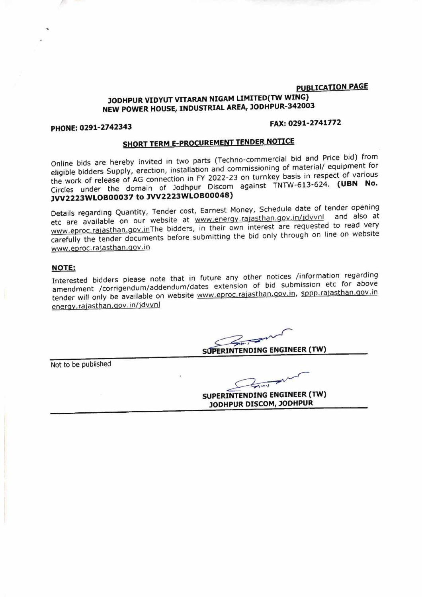## **PUBUCATION PAGE JODHPUR VIDYUT VITARAN NIGAM UMITED(TW WING) NEW POWER HOUSE, INDUSTRIAL AREA, JODHPUR-342003**

## **PHONE: 0291-2742343 FAX:0291-2741772**

# **SHORT TERM E-PRQCUREMENT TENDER NOTICE**

Online bids are hereby invited in two parts (Techno-commercial bid and Price bid) from eligible bidders Supply, erection, installation and commissioning of material/ equipment for the work of release of AG connection in FY 2022-23 on turnkey basis in respect of various Circles under the domain of Jodhpur Discom against TNTW-613-624. (UBN No. **JVV2223WLOB00037 to JW2223WLOB00048)** 

Details regarding Quantity, Tender cost, Earnest Money, Schedule date of tender opening etc are available on our website at www.energy.rajasthan.qov.in/jdvvnl and also at www.eproc.rajasthan.gov.inThe bidders, in their own interest are requested to read very carefully the tender documents before submitting the bid only through on line on website www.eproc.rajasthan.gov.in

### **NOTE:**

Interested bidders please note that in future any other notices /information regarding Interested bidders please note that in future any other interests minimization of bid submission etc for above<br>amendment /corrigendum/addendum/dates extension of bid submission etc for above<br>tender will only be available o tender will only be available on website www.eproc.rajasthan.gov.in, sppp.rajasthan.gov.in energy.rajasthan.gov.in/jdvvnl

Not to be published

**SUPERI NTENDING ENGINEER (TW) JODHPUR DISCOM, JODHPUR**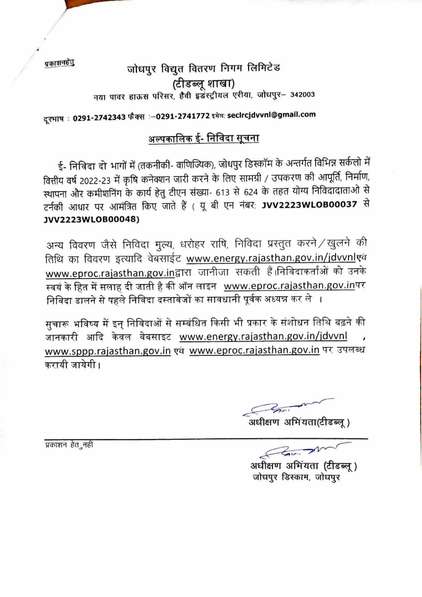प्रकाशनहेतु

# जोधपुर विद्युत वितरण निगम लिमिटेड (टीडब्लू शाखा) नया पावर हाऊस परिसर, हैवी इडस्ट्रीयल एरीया, जोधपुर- 342003

दरभाष : 0291-2742343 फैक्स :- 0291-2741772 इमेल: secircjdvvnl@gmail.com

## अल्पकालिक ई- निविदा सूचना

ई- निविदा दो भागों में (तकनीकी- वाणिज्यिक), जोधपुर डिस्कॉम के अन्तर्गत विभिन्न सर्कलो में वित्तीय वर्ष 2022-23 में कृषि कनेक्शन जारी करने के लिए सामग्री / उपकरण की आपूर्ति, निर्माण, स्थापना और कमीशनिंग के कार्य हेतु टीएन संख्या- 613 से 624 के तहत योग्य निविदादाताओं से टर्नकी आधार पर आमंत्रित किए जाते हैं ( यू बी एन नंबर: JVV2223WLOB00037 से **JVV2223WLOB00048)** 

अन्य विवरण जैसे निविदा मुल्य, धरोहर राषि, निविदा प्रस्तुत करने / खुलने की तिथि का विवरण इत्यादि वेबसाईट www.energy.rajasthan.gov.in/jdvvnlएक www.eproc.rajasthan.gov.inद्वारा जानीजा सकती हैं।निविदाकर्ताओं को उनके स्वयं के हित में सलाह दी जाती है की ऑन लाइन www.eproc.rajasthan.gov.inपर निविदा डालने से पहले निविदा दस्तावेजों का सावधानी पूर्वक अध्यन्न कर ले

सुचारू भविष्य में इन् निविदाओं से सम्बंधित किसी भी प्रकार के संशोधन तिथि बढ़ने की जानकारी आदि केवल वेबसाइट www.energy.rajasthan.gov.in/jdvvnl www.sppp.rajasthan.gov.in एवं www.eproc.rajasthan.gov.in पर उपलब्ध करायी जायेगी ।

 $\epsilon$ .<br>अधीक्षण अभिंयता(टीडब्लू)

प्रकाशन हेत नहीं

अधीक्षण अभिंयता (टीडब्लू) जोधपुर डिस्काम, जोधपुर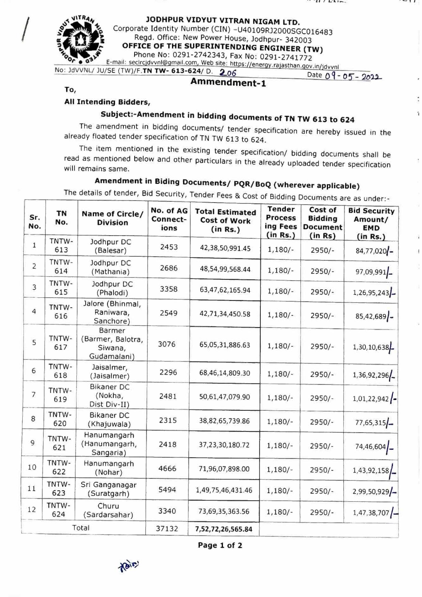*• -41.*  $\frac{1}{2}$ 

**JODHPUR VIDYUT VITRAN NIGAM LTD.**<br>Corporate Identity Number (CIN) -U40109RJ2000SGC016483<br>Regd. Office: New Power House, Jodhpur- 342003

~~-\ Corporate Identity Number (CIN) -U40109RJ2000SGC016483 ~ ~ Regd. Office: New Power House, Jodhpur- 342003 ' ! **OFFICE OF THE SUPERINTENDING ENGINEER (TW)** 

Phone No: 0291-2742343, Fax No: 0291-2741772 E-mail: seclrcjdvvnl@gmail.com, Web site: https://energy.rajasthan.gov.in/jdvvnl

No: JdVVNL/ JU/SE (TW)/F.**TN TW- 613-624/ D.** 2.06 Date 09- 05- 2022

 $\ddot{1}$ 

**To,** 

## **All Intending Bidders,**

# **Subject:-Amendment in bidding documents of TN TW 613 to 624**

The amendment in bidding documents/ tender specification are hereby issued in the already floated tender specification of TN TW 613 to 624.

The item mentioned in the existing tender specification/ bidding documents shall be read as mentioned below and other particulars in the already uploaded tender specification will remains same.

# **Amendment in Biding Documents/ PQR/BoQ (wherever applicable)**

The details of tender, Bid Security, Tender Fees & Cost of Bidding Documents are as under:-

| Sr.<br>No.     | <b>TN</b><br>No. | Name of Circle/<br><b>Division</b>                    | No. of AG<br>Connect-<br>ions | <b>Total Estimated</b><br><b>Cost of Work</b><br>(in Rs.) | <b>Tender</b><br><b>Process</b><br>ing Fees<br>(in Rs.) | Cost of<br><b>Bidding</b><br><b>Document</b><br>(in Rs) | <b>Bid Security</b><br>Amount/<br><b>EMD</b><br>(in Rs.) |
|----------------|------------------|-------------------------------------------------------|-------------------------------|-----------------------------------------------------------|---------------------------------------------------------|---------------------------------------------------------|----------------------------------------------------------|
| $\mathbf{1}$   | TNTW-<br>613     | Jodhpur DC<br>(Balesar)                               | 2453                          | 42,38,50,991.45                                           | $1,180/-$                                               | $2950/-$                                                | 84,77,020 -                                              |
| $\overline{2}$ | TNTW-<br>614     | Jodhpur DC<br>(Mathania)                              | 2686                          | 48,54,99,568.44                                           | $1,180/-$                                               | $2950/-$                                                | 97,09,991                                                |
| $\overline{3}$ | TNTW-<br>615     | Jodhpur DC<br>(Phalodi)                               | 3358                          | 63,47,62,165.94                                           | $1,180/-$                                               | $2950/-$                                                | $1,26,95,243$ -                                          |
| $\overline{4}$ | TNTW-<br>616     | Jalore (Bhinmal,<br>Raniwara,<br>Sanchore)            | 2549                          | 42,71,34,450.58                                           | $1,180/-$                                               | $2950/-$                                                | $85,42,689$ -                                            |
| 5              | TNTW-<br>617     | Barmer<br>(Barmer, Balotra,<br>Siwana,<br>Gudamalani) | 3076                          | 65,05,31,886.63                                           | $1,180/-$                                               | $2950/-$                                                | 1,30,10,638                                              |
| 6              | TNTW-<br>618     | Jaisalmer,<br>(Jaisalmer)                             | 2296                          | 68,46,14,809.30                                           | $1,180/-$                                               | $2950/-$                                                | 1,36,92,296                                              |
| $\overline{7}$ | TNTW-<br>619     | <b>Bikaner DC</b><br>(Nokha,<br>Dist Div-II)          | 2481                          | 50,61,47,079.90                                           | $1,180/-$                                               | $2950/-$                                                | $1,01,22,942$ $\left\{ -$                                |
| 8              | TNTW-<br>620     | <b>Bikaner DC</b><br>(Khajuwala)                      | 2315                          | 38,82,65,739.86                                           | $1,180/-$                                               | $2950/-$                                                | $77,65,315$ -                                            |
| $\overline{9}$ | TNTW-<br>621     | Hanumangarh<br>(Hanumangarh,<br>Sangaria)             | 2418                          | 37, 23, 30, 180. 72                                       | $1,180/-$                                               | $2950/-$                                                | 74,46,604                                                |
| 10             | TNTW-<br>622     | Hanumangarh<br>(Nohar)                                | 4666                          | 71,96,07,898.00                                           | $1,180/-$                                               | $2950/-$                                                | 1,43,92,158                                              |
| 11             | TNTW-<br>623     | Sri Ganganagar<br>(Suratgarh)                         | 5494                          | 1,49,75,46,431.46                                         | $1,180/-$                                               | $2950/-$                                                | $2,99,50,929$ –                                          |
| 12             | TNTW-<br>624     | Churu<br>(Sardarsahar)                                | 3340                          | 73,69,35,363.56                                           | $1,180/-$                                               | $2950/-$                                                | $1,47,38,707$ –                                          |
| Total          |                  |                                                       | 37132                         | 7,52,72,26,565.84                                         |                                                         |                                                         |                                                          |

**Page 1 of 2** 

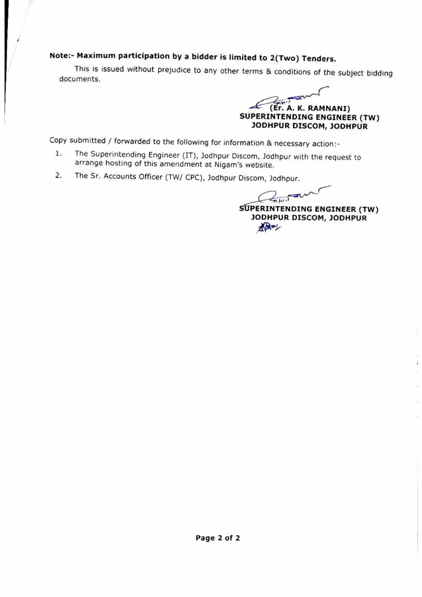# **Note:- Maximum participation by a bidder is limited to 2(Two) Tenders.**

This is issued without prejudice to any other terms & conditions of the subject bidding documents.

ed to 2(Two) 1<br>rms & condition<br>**EXALC: A. K.**<br>JODHPUR DIS conditions of the sub-**(Er. A. K. RAMNANI) SUPERINTENDING ENGINEER (TW) JODHPUR DISCOM, JODHPUR** 

Copy submitted / forwarded to the following for information & necessary action:-

- 1. The Superintending Engineer {IT), Jodhpur Discom, Jodhpur with the request to arrange hosting of this amendment at Nigam's website.
- 2. The Sr. Accounts Officer (TW/ CPC), Jodhpur Discom, Jodhpur.

,--

DDHPUR DISCOM, JODHPUR<br>
DIE & necessary action:-<br>
, Jodhpur with the request to<br>
site.<br>
M, Jodhpur.<br>
ERINTENDING ENGINEER (TV<br>
DDHPUR DISCOM, JODHPUR **SUPERINTENDING ENGINEER (TW) JODHPUR DISCOM, JODHPUR** 

ì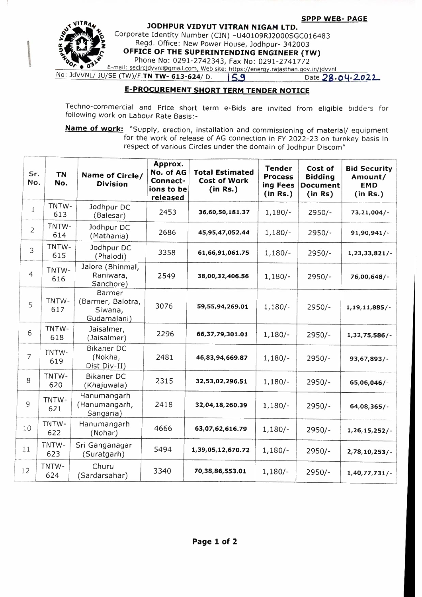**SPPP WEB- PAGE** 



 $\mathbb{I}$ 

**JODHPUR VIDYUT VITRAN NIGAM LTD.**<br>Corporate Identity Number (CIN) -U40109RJ2000SGC016483 SPPP WITRAM<br>200HPUR VIDYUT VITRAN NIGAM LTD.<br>2009 Corporate Identity Number (CIN) -U40109RJ2000SGC016483<br>2003 OFFICE OF THE SUPERINTENDING ENGINEER (TW)<br>291-2741772<br>Phone No: 0291-2742343, Fax No: 0291-2741772 Regd. Office: New Power House, Jodhpur- 342003 **OFFICE OF THE SUPERINTENDING ENGINEER (TW)** Phone No: 0291-2742343, Fax No: 0291-2741772 E-mail: seclrcjdvvnl@gmail.com, Web site: https://energy.rajasthan.gov.in/jdvvnl

No: JdVVNL/ JU/SE (TW)/F. TN TW- 613-624/ D. **15.9** Date 28.04·2022

## **E-PROCUREMENT SHORT TERM TENDER NOTICE**

Techno-commercial and Price short term e-Bids are invited from eligible bidders for following work on Labour Rate Basis:-

**Name of work:** "Supply, erection, installation and commissioning of material/ equipment for the work of release of AG connection in FY 2022-23 on turnkey basis in respect of various Circles under the domain of Jodhpur Discom"

| Sr.<br>No.     | <b>TN</b><br>No. | Name of Circle/<br><b>Division</b>                           | Approx.<br>No. of AG<br>Connect-<br>ions to be<br>released | <b>Total Estimated</b><br><b>Cost of Work</b><br>(in Rs.) | <b>Tender</b><br><b>Process</b><br>ing Fees<br>(in Rs.) | Cost of<br><b>Bidding</b><br><b>Document</b><br>(in Rs) | <b>Bid Security</b><br>Amount/<br><b>EMD</b><br>(in Rs.) |
|----------------|------------------|--------------------------------------------------------------|------------------------------------------------------------|-----------------------------------------------------------|---------------------------------------------------------|---------------------------------------------------------|----------------------------------------------------------|
| $\mathbf{1}$   | TNTW-<br>613     | Jodhpur DC<br>(Balesar)                                      | 2453                                                       | 36,60,50,181.37                                           | $1,180/-$                                               | $2950/-$                                                | $73,21,004/$ -                                           |
| $\overline{2}$ | TNTW-<br>614     | Jodhpur DC<br>(Mathania)                                     | 2686                                                       | 45,95,47,052.44                                           | $1,180/-$                                               | $2950/-$                                                | 91,90,941/                                               |
| 3              | TNTW-<br>615     | Jodhpur DC<br>(Phalodi)                                      | 3358                                                       | 61,66,91,061.75                                           | $1,180/-$                                               | $2950/-$                                                | $1, 23, 33, 821/ -$                                      |
| $\overline{4}$ | TNTW-<br>616     | Jalore (Bhinmal,<br>Raniwara,<br>Sanchore)                   | 2549                                                       | 38,00,32,406.56                                           | $1,180/-$                                               | $2950/-$                                                | 76,00,648/-                                              |
| 5              | TNTW-<br>617     | <b>Barmer</b><br>(Barmer, Balotra,<br>Siwana,<br>Gudamalani) | 3076                                                       | 59,55,94,269.01                                           | $1,180/-$                                               | $2950/-$                                                | 1, 19, 11, 885/                                          |
| 6              | TNTW-<br>618     | Jaisalmer,<br>(Jaisalmer)                                    | 2296                                                       | 66,37,79,301.01                                           | $1,180/-$                                               | $2950/-$                                                | $1,32,75,586/ -$                                         |
| $\overline{7}$ | TNTW-<br>619     | <b>Bikaner DC</b><br>(Nokha,<br>Dist Div-II)                 | 2481                                                       | 46,83,94,669.87                                           | $1,180/-$                                               | $2950/-$                                                | 93,67,893/-                                              |
| 8              | TNTW-<br>620     | <b>Bikaner DC</b><br>(Khajuwala)                             | 2315                                                       | 32,53,02,296.51                                           | $1,180/-$                                               | $2950/-$                                                | 65,06,046/-                                              |
| 9              | TNTW-<br>621     | Hanumangarh<br>(Hanumangarh,<br>Sangaria)                    | 2418                                                       | 32,04,18,260.39                                           | $1,180/-$                                               | $2950/-$                                                | $64,08,365/$ -                                           |
| 10             | TNTW-<br>622     | Hanumangarh<br>(Nohar)                                       | 4666                                                       | 63,07,62,616.79                                           | $1,180/-$                                               | $2950/-$                                                | $1,26,15,252/$ -                                         |
| 11             | TNTW-<br>623     | Sri Ganganagar<br>(Suratgarh)                                | 5494                                                       | 1,39,05,12,670.72                                         | $1,180/-$                                               | $2950/-$                                                | $2,78,10,253/ -$                                         |
| 12             | TNTW-<br>624     | Churu<br>(Sardarsahar)                                       | 3340                                                       | 70,38,86,553.01                                           | $1,180/-$                                               | $2950/-$                                                | 1,40,77,731/                                             |